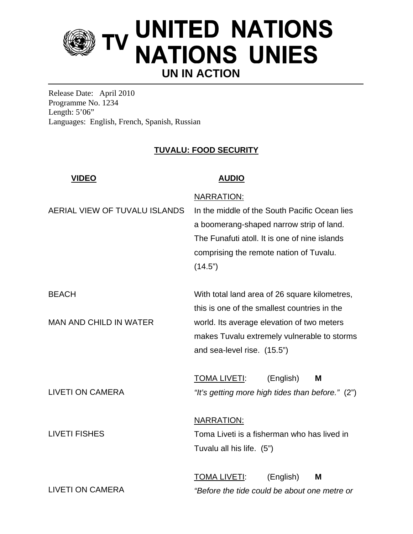

Release Date: April 2010 Programme No. 1234 Length:  $5'06"$ Languages: English, French, Spanish, Russian

## **TUVALU: FOOD SECURITY**

| <b>VIDEO</b>                                    | <b>AUDIO</b>                                                                                                                                                                                                              |
|-------------------------------------------------|---------------------------------------------------------------------------------------------------------------------------------------------------------------------------------------------------------------------------|
| AERIAL VIEW OF TUVALU ISLANDS                   | <b>NARRATION:</b><br>In the middle of the South Pacific Ocean lies<br>a boomerang-shaped narrow strip of land.<br>The Funafuti atoll. It is one of nine islands<br>comprising the remote nation of Tuvalu.<br>(14.5")     |
| <b>BEACH</b><br><b>MAN AND CHILD IN WATER</b>   | With total land area of 26 square kilometres,<br>this is one of the smallest countries in the<br>world. Its average elevation of two meters<br>makes Tuvalu extremely vulnerable to storms<br>and sea-level rise. (15.5") |
| <b>LIVETI ON CAMERA</b><br><b>LIVETI FISHES</b> | <b>TOMA LIVETI:</b><br>(English)<br>M<br>"It's getting more high tides than before." (2")<br><b>NARRATION:</b><br>Toma Liveti is a fisherman who has lived in<br>Tuvalu all his life. (5")                                |
| <b>LIVETI ON CAMERA</b>                         | <b>TOMA LIVETI:</b><br>(English)<br>M<br>"Before the tide could be about one metre or                                                                                                                                     |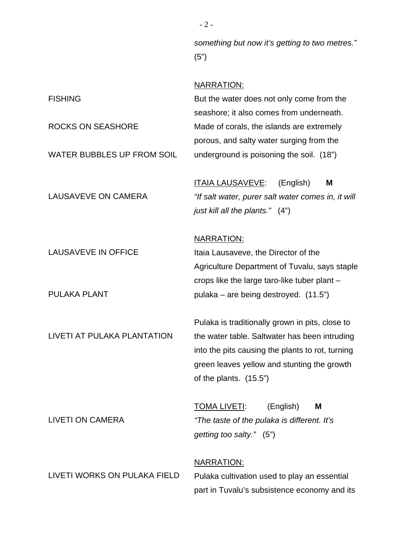FISHING ROCKS ON SEASHORE WATER BUBBLES UP FROM SOIL LAUSAVEVE ON CAMERA LAUSAVEVE IN OFFICE PULAKA PLANT LIVETI AT PULAKA PLANTATION LIVETI ON CAMERA LIVETI WORKS ON PULAKA FIELD *something but now it's getting to two metres."* (5") NARRATION: But the water does not only come from the seashore; it also comes from underneath. Made of corals, the islands are extremely porous, and salty water surging from the underground is poisoning the soil. (18") ITAIA LAUSAVEVE: (English) **M** *"If salt water, purer salt water comes in, it will just kill all the plants."* (4") NARRATION: Itaia Lausaveve, the Director of the Agriculture Department of Tuvalu, says staple crops like the large taro-like tuber plant – pulaka – are being destroyed. (11.5") Pulaka is traditionally grown in pits, close to the water table. Saltwater has been intruding into the pits causing the plants to rot, turning green leaves yellow and stunting the growth of the plants. (15.5") TOMA LIVETI: (English) **M** *"The taste of the pulaka is different. It's getting too salty."* (5") NARRATION: Pulaka cultivation used to play an essential

part in Tuvalu's subsistence economy and its

- 2 -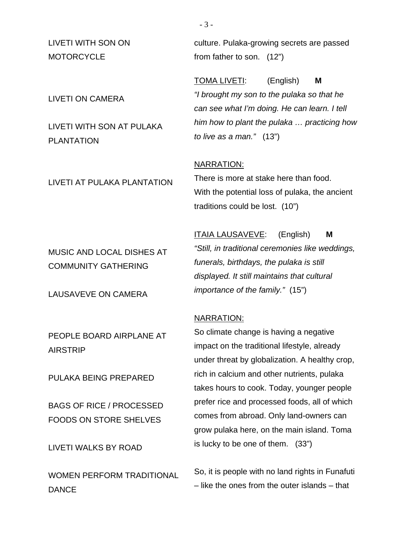LIVETI WITH SON ON **MOTORCYCLE** 

LIVETI ON CAMERA

LIVETI WITH SON AT PULAKA PLANTATION

LIVETI AT PULAKA PLANTATION

MUSIC AND LOCAL DISHES AT COMMUNITY GATHERING

LAUSAVEVE ON CAMERA

PEOPLE BOARD AIRPLANE AT AIRSTRIP

PULAKA BEING PREPARED

BAGS OF RICE / PROCESSED FOODS ON STORE SHELVES

LIVETI WALKS BY ROAD

WOMEN PERFORM TRADITIONAL **DANCE** 

culture. Pulaka-growing secrets are passed from father to son.(12")

TOMA LIVETI: (English) **M** *"I brought my son to the pulaka so that he can see what I'm doing. He can learn. I tell him how to plant the pulaka … practicing how to live as a man."* (13")

#### NARRATION:

There is more at stake here than food. With the potential loss of pulaka, the ancient traditions could be lost. (10")

ITAIA LAUSAVEVE: (English) **M** *"Still, in traditional ceremonies like weddings, funerals, birthdays, the pulaka is still displayed. It still maintains that cultural importance of the family."* (15")

#### NARRATION:

So climate change is having a negative impact on the traditional lifestyle, already under threat by globalization. A healthy crop, rich in calcium and other nutrients, pulaka takes hours to cook. Today, younger people prefer rice and processed foods, all of which comes from abroad. Only land-owners can grow pulaka here, on the main island. Toma is lucky to be one of them. (33")

So, it is people with no land rights in Funafuti – like the ones from the outer islands – that

- 3 -